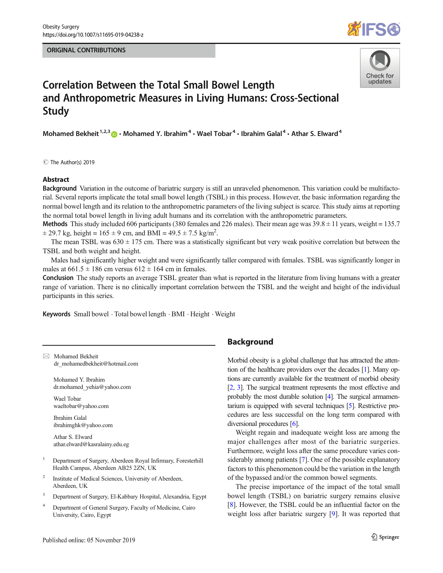#### ORIGINAL CONTRIBUTIONS





# Correlation Between the Total Small Bowel Length and Anthropometric Measures in Living Humans: Cross-Sectional Study

Mohamed Bekheit<sup>1,2,3</sup>  $\odot$  · Mohamed Y. Ibrahim<sup>4</sup> · Wael Tobar<sup>4</sup> · Ibrahim Galal<sup>4</sup> · Athar S. Elward<sup>4</sup>

C The Author(s) 2019

#### **Abstract**

Background Variation in the outcome of bariatric surgery is still an unraveled phenomenon. This variation could be multifactorial. Several reports implicate the total small bowel length (TSBL) in this process. However, the basic information regarding the normal bowel length and its relation to the anthropometric parameters of the living subject is scarce. This study aims at reporting the normal total bowel length in living adult humans and its correlation with the anthropometric parameters.

Methods This study included 606 participants (380 females and 226 males). Their mean age was  $39.8 \pm 11$  years, weight = 135.7  $\pm$  29.7 kg, height = 165  $\pm$  9 cm, and BMI = 49.5  $\pm$  7.5 kg/m<sup>2</sup>.

The mean TSBL was  $630 \pm 175$  cm. There was a statistically significant but very weak positive correlation but between the TSBL and both weight and height.

Males had significantly higher weight and were significantly taller compared with females. TSBL was significantly longer in males at  $661.5 \pm 186$  cm versus  $612 \pm 164$  cm in females.

Conclusion The study reports an average TSBL greater than what is reported in the literature from living humans with a greater range of variation. There is no clinically important correlation between the TSBL and the weight and height of the individual participants in this series.

Keywords Small bowel · Total bowel length · BMI · Height · Weight

 $\boxtimes$  Mohamed Bekheit dr\_mohamedbekheit@hotmail.com

> Mohamed Y. Ibrahim dr.mohamed\_yehia@yahoo.com

Wael Tobar waeltobar@yahoo.com

Ibrahim Galal ibrahimghk@yahoo.com

Athar S. Elward athar.elward@kasralainy.edu.eg

- <sup>1</sup> Department of Surgery, Aberdeen Royal Infirmary, Foresterhill Health Campus, Aberdeen AB25 2ZN, UK
- Institute of Medical Sciences, University of Aberdeen, Aberdeen, UK
- <sup>3</sup> Department of Surgery, El-Kabbary Hospital, Alexandria, Egypt
- <sup>4</sup> Department of General Surgery, Faculty of Medicine, Cairo University, Cairo, Egypt

## Background

Morbid obesity is a global challenge that has attracted the attention of the healthcare providers over the decades [1]. Many options are currently available for the treatment of morbid obesity [2, 3]. The surgical treatment represents the most effective and probably the most durable solution [4]. The surgical armamentarium is equipped with several techniques [5]. Restrictive procedures are less successful on the long term compared with diversional procedures [6].

Weight regain and inadequate weight loss are among the major challenges after most of the bariatric surgeries. Furthermore, weight loss after the same procedure varies considerably among patients [7]. One of the possible explanatory factors to this phenomenon could be the variation in the length of the bypassed and/or the common bowel segments.

The precise importance of the impact of the total small bowel length (TSBL) on bariatric surgery remains elusive [8]. However, the TSBL could be an influential factor on the weight loss after bariatric surgery [9]. It was reported that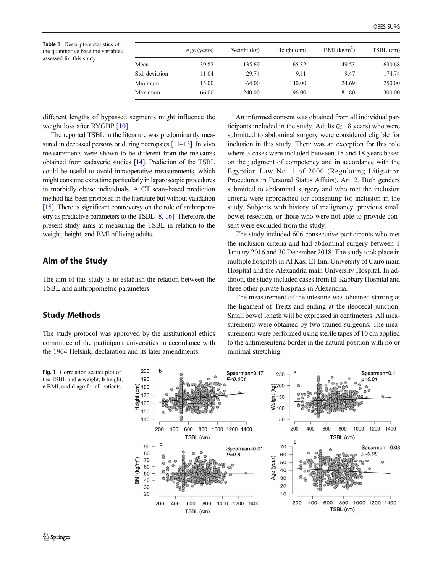Table 1 Descriptive statistics of the quantitative baseline variables assessed for this study

|                | Age (years) | Weight (kg) | Height (cm) | BMI $(kg/m^2)$ | TSBL (cm) |
|----------------|-------------|-------------|-------------|----------------|-----------|
| Mean           | 39.82       | 135.69      | 165.32      | 49.53          | 630.68    |
| Std. deviation | 11.04       | 29.74       | 9.11        | 9.47           | 174.74    |
| Minimum        | 15.00       | 64.00       | 140.00      | 24.69          | 250.00    |
| Maximum        | 66.00       | 240.00      | 196.00      | 81.80          | 1300.00   |

different lengths of bypassed segments might influence the weight loss after RYGBP [10].

The reported TSBL in the literature was predominantly measured in deceased persons or during necropsies [11–13]. In vivo measurements were shown to be different from the measures obtained from cadaveric studies [14]. Prediction of the TSBL could be useful to avoid intraoperative measurements, which might consume extra time particularly in laparoscopic procedures in morbidly obese individuals. A CT scan–based prediction method has been proposed in the literature but without validation [15]. There is significant controversy on the role of anthropometry as predictive parameters to the TSBL [8, 16]. Therefore, the present study aims at measuring the TSBL in relation to the weight, height, and BMI of living adults.

### Aim of the Study

The aim of this study is to establish the relation between the TSBL and anthropometric parameters.

## Study Methods

The study protocol was approved by the institutional ethics committee of the participant universities in accordance with the 1964 Helsinki declaration and its later amendments.

An informed consent was obtained from all individual participants included in the study. Adults  $(≥ 18 \text{ years})$  who were submitted to abdominal surgery were considered eligible for inclusion in this study. There was an exception for this role where 3 cases were included between 15 and 18 years based on the judgment of competency and in accordance with the Egyptian Law No. 1 of 2000 (Regulating Litigation Procedures in Personal Status Affairs), Art. 2. Both genders submitted to abdominal surgery and who met the inclusion criteria were approached for consenting for inclusion in the study. Subjects with history of malignancy, previous small bowel resection, or those who were not able to provide consent were excluded from the study.

The study included 606 consecutive participants who met the inclusion criteria and had abdominal surgery between 1 January 2016 and 30 December 2018. The study took place in multiple hospitals in Al Kasr El-Eini University of Cairo main Hospital and the Alexandria main University Hospital. In addition, the study included cases from El-Kabbary Hospital and three other private hospitals in Alexandria.

The measurement of the intestine was obtained starting at the ligament of Treitz and ending at the ileocecal junction. Small bowel length will be expressed in centimeters. All measurements were obtained by two trained surgeons. The measurements were performed using sterile tapes of 10 cm applied to the antimesenteric border in the natural position with no or minimal stretching.

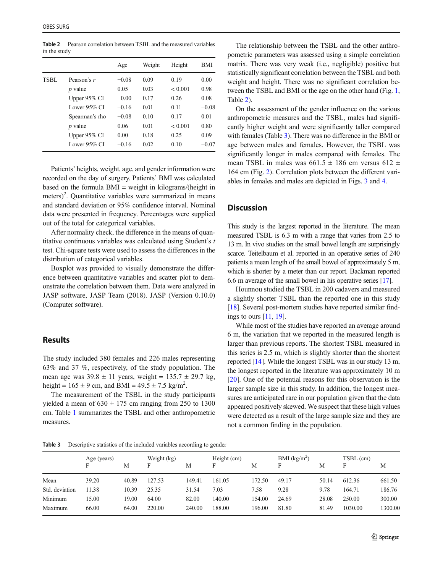Table 2 Pearson correlation between TSBL and the measured variables in the study

|      |                 | Age     | Weight | Height  | BMI     |
|------|-----------------|---------|--------|---------|---------|
| TSBL | Pearson's r     | $-0.08$ | 0.09   | 0.19    | 0.00    |
|      | $p$ value       | 0.05    | 0.03   | < 0.001 | 0.98    |
|      | Upper 95% CI    | $-0.00$ | 0.17   | 0.26    | 0.08    |
|      | Lower $95\%$ CI | $-0.16$ | 0.01   | 0.11    | $-0.08$ |
|      | Spearman's rho  | $-0.08$ | 0.10   | 0.17    | 0.01    |
|      | $p$ value       | 0.06    | 0.01   | < 0.001 | 0.80    |
|      | Upper $95\%$ CI | 0.00    | 0.18   | 0.25    | 0.09    |
|      | Lower $95\%$ CI | $-0.16$ | 0.02   | 0.10    | $-0.07$ |

Patients' heights, weight, age, and gender information were recorded on the day of surgery. Patients' BMI was calculated based on the formula BMI = weight in kilograms/(height in meters)<sup>2</sup>. Quantitative variables were summarized in means and standard deviation or 95% confidence interval. Nominal data were presented in frequency. Percentages were supplied out of the total for categorical variables.

After normality check, the difference in the means of quantitative continuous variables was calculated using Student's  $t$ test. Chi-square tests were used to assess the differences in the distribution of categorical variables.

Boxplot was provided to visually demonstrate the difference between quantitative variables and scatter plot to demonstrate the correlation between them. Data were analyzed in JASP software, JASP Team (2018). JASP (Version 0.10.0) (Computer software).

### **Results**

The study included 380 females and 226 males representing 63% and 37 %, respectively, of the study population. The mean age was  $39.8 \pm 11$  years, weight =  $135.7 \pm 29.7$  kg, height =  $165 \pm 9$  cm, and BMI =  $49.5 \pm 7.5$  kg/m<sup>2</sup>.

The measurement of the TSBL in the study participants yielded a mean of  $630 \pm 175$  cm ranging from 250 to 1300 cm. Table 1 summarizes the TSBL and other anthropometric measures.

The relationship between the TSBL and the other anthropometric parameters was assessed using a simple correlation matrix. There was very weak (i.e., negligible) positive but statistically significant correlation between the TSBL and both weight and height. There was no significant correlation between the TSBL and BMI or the age on the other hand (Fig. 1, Table 2).

On the assessment of the gender influence on the various anthropometric measures and the TSBL, males had significantly higher weight and were significantly taller compared with females (Table 3). There was no difference in the BMI or age between males and females. However, the TSBL was significantly longer in males compared with females. The mean TSBL in males was  $661.5 \pm 186$  cm versus  $612 \pm 186$ 164 cm (Fig. 2). Correlation plots between the different variables in females and males are depicted in Figs. 3 and 4.

#### **Discussion**

This study is the largest reported in the literature. The mean measured TSBL is 6.3 m with a range that varies from 2.5 to 13 m. In vivo studies on the small bowel length are surprisingly scarce. Teitelbaum et al. reported in an operative series of 240 patients a mean length of the small bowel of approximately 5 m, which is shorter by a meter than our report. Backman reported 6.6 m average of the small bowel in his operative series [17].

Hounnou studied the TSBL in 200 cadavers and measured a slightly shorter TSBL than the reported one in this study [18]. Several post-mortem studies have reported similar findings to ours [11, 19].

While most of the studies have reported an average around 6 m, the variation that we reported in the measured length is larger than previous reports. The shortest TSBL measured in this series is 2.5 m, which is slightly shorter than the shortest reported [14]. While the longest TSBL was in our study 13 m, the longest reported in the literature was approximately 10 m [20]. One of the potential reasons for this observation is the larger sample size in this study. In addition, the longest measures are anticipated rare in our population given that the data appeared positively skewed. We suspect that these high values were detected as a result of the large sample size and they are not a common finding in the population.

Table 3 Descriptive statistics of the included variables according to gender

|                | Age (years)<br>F | М     | Weight (kg)<br>Е | М      | Height (cm)<br>Е | М      | BMI $(kg/m^2)$<br>F | М     | TSBL (cm)<br>F | М       |
|----------------|------------------|-------|------------------|--------|------------------|--------|---------------------|-------|----------------|---------|
| Mean           | 39.20            | 40.89 | 127.53           | 149.41 | 161.05           | 172.50 | 49.17               | 50.14 | 612.36         | 661.50  |
| Std. deviation | 11.38            | 10.39 | 25.35            | 31.54  | 7.03             | 7.58   | 9.28                | 9.78  | 164.71         | 186.76  |
| Minimum        | 15.00            | 19.00 | 64.00            | 82.00  | 140.00           | 154.00 | 24.69               | 28.08 | 250.00         | 300.00  |
| Maximum        | 66.00            | 64.00 | 220.00           | 240.00 | 188.00           | 196.00 | 81.80               | 81.49 | 1030.00        | 1300.00 |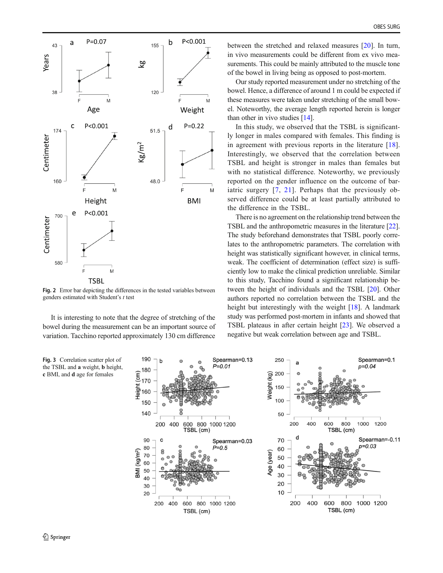

Fig. 2 Error bar depicting the differences in the tested variables between genders estimated with Student's  $t$  test

It is interesting to note that the degree of stretching of the bowel during the measurement can be an important source of variation. Tacchino reported approximately 130 cm difference

OBES SURG

between the stretched and relaxed measures [20]. In turn, in vivo measurements could be different from ex vivo measurements. This could be mainly attributed to the muscle tone of the bowel in living being as opposed to post-mortem.

Our study reported measurement under no stretching of the bowel. Hence, a difference of around 1 m could be expected if these measures were taken under stretching of the small bowel. Noteworthy, the average length reported herein is longer than other in vivo studies [14].

In this study, we observed that the TSBL is significantly longer in males compared with females. This finding is in agreement with previous reports in the literature [18]. Interestingly, we observed that the correlation between TSBL and height is stronger in males than females but with no statistical difference. Noteworthy, we previously reported on the gender influence on the outcome of bariatric surgery [7, 21]. Perhaps that the previously observed difference could be at least partially attributed to the difference in the TSBL.

There is no agreement on the relationship trend between the TSBL and the anthropometric measures in the literature [22]. The study beforehand demonstrates that TSBL poorly correlates to the anthropometric parameters. The correlation with height was statistically significant however, in clinical terms, weak. The coefficient of determination (effect size) is sufficiently low to make the clinical prediction unreliable. Similar to this study, Tacchino found a significant relationship between the height of individuals and the TSBL [20]. Other authors reported no correlation between the TSBL and the height but interestingly with the weight [18]. A landmark study was performed post-mortem in infants and showed that TSBL plateaus in after certain height [23]. We observed a negative but weak correlation between age and TSBL.

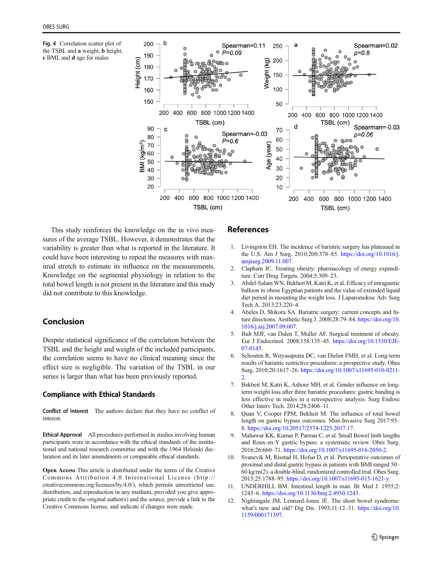Fig. 4 Correlation scatter plot of the TSBL and a weight, b height, c BMI, and d age for males



This study reinforces the knowledge on the in vivo measures of the average TSBL. However, it demonstrates that the variability is greater than what is reported in the literature. It could have been interesting to repeat the measures with maximal stretch to estimate its influence on the measurements. Knowledge on the segmental physiology in relation to the total bowel length is not present in the literature and this study did not contribute to this knowledge.

# Conclusion

Despite statistical significance of the correlation between the TSBL and the height and weight of the included participants, the correlation seems to have no clinical meaning since the effect size is negligible. The variation of the TSBL in our series is larger than what has been previously reported.

### Compliance with Ethical Standards

Conflict of Interest The authors declare that they have no conflict of interest.

Ethical Approval All procedures performed in studies involving human participants were in accordance with the ethical standards of the institutional and national research committee and with the 1964 Helsinki declaration and its later amendments or comparable ethical standards.

Open Access This article is distributed under the terms of the Creative Commons Attribution 4.0 International License (http:// creativecommons.org/licenses/by/4.0/), which permits unrestricted use, distribution, and reproduction in any medium, provided you give appropriate credit to the original author(s) and the source, provide a link to the Creative Commons license, and indicate if changes were made.

# References

- 1. Livingston EH. The incidence of bariatric surgery has plateaued in the U.S. Am J Surg. 2010;200:378–85. https://doi.org/10.1016/j. amjsurg.2009.11.007.
- 2. Clapham JC. Treating obesity: pharmacology of energy expenditure. Curr Drug Targets. 2004;5:309–23.
- 3. Abdel-Salam WN, Bekheit M, Katri K, et al. Efficacy of intragastric balloon in obese Egyptian patients and the value of extended liquid diet period in mounting the weight loss. J Laparoendosc Adv Surg Tech A. 2013;23:220–4.
- 4. Abeles D, Shikora SA. Bariatric surgery: current concepts and future directions. Aesthetic Surg J. 2008;28:79–84. https://doi.org/10. 1016/j.asj.2007.09.007.
- 5. Bult MJF, van Dalen T, Muller AF. Surgical treatment of obesity. Eur J Endocrinol. 2008;158:135–45. https://doi.org/10.1530/EJE-07-0145.
- 6. Schouten R, Wiryasaputra DC, van Dielen FMH, et al. Long-term results of bariatric restrictive procedures: a prospective study. Obes Surg. 2010;20:1617–26. https://doi.org/10.1007/s11695-010-0211- 2.
- 7. Bekheit M, Katri K, Ashour MH, et al. Gender influence on longterm weight loss after three bariatric procedures: gastric banding is less effective in males in a retrospective analysis. Surg Endosc Other Interv Tech. 2014;28:2406–11.
- 8. Quan V, Cooper FPM, Bekheit M. The influence of total bowel length on gastric bypass outcomes. Mini-Invasive Surg 2017:95– 8. https://doi.org/10.20517/2574-1225.2017.17.
- 9. Mahawar KK, Kumar P, Parmar C, et al. Small Bowel limb lengths and Roux-en-Y gastric bypass: a systematic review. Obes Surg. 2016;26:660–71. https://doi.org/10.1007/s11695-016-2050-2.
- 10. Svanevik M, Risstad H, Hofsø D, et al. Perioperative outcomes of proximal and distal gastric bypass in patients with BMI ranged 50– 60 kg/m(2)–a double-blind, randomized controlled trial. Obes Surg. 2015;25:1788–95. https://doi.org/10.1007/s11695-015-1621-y.
- 11. UNDERHILL BM. Intestinal length in man. Br Med J. 1955;2: 1243–6. https://doi.org/10.1136/bmj.2.4950.1243.
- 12. Nightingale JM, Lennard-Jones JE. The short bowel syndrome: what's new and old? Dig Dis. 1993;11:12–31. https://doi.org/10. 1159/000171397.